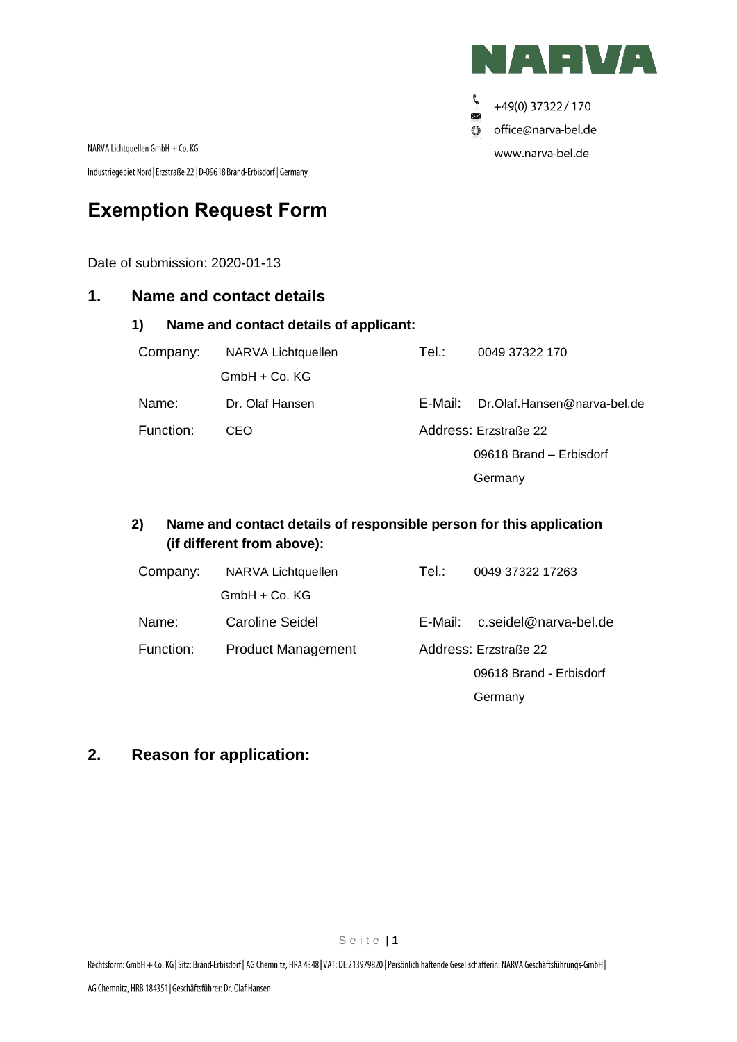

Ç, +49(0) 37322 / 170  $\times$ office@narva-bel.de  $\bigoplus$ www.narva-bel.de

NARVA Lichtquellen GmbH + Co. KG

Industriegebiet Nord | Erzstraße 22 | D-09618 Brand-Erbisdorf | Germany

# **Exemption Request Form**

Date of submission: 2020-01-13

### **1. Name and contact details**

| 1)<br>Name and contact details of applicant: |                    |           |                             |  |  |  |
|----------------------------------------------|--------------------|-----------|-----------------------------|--|--|--|
| Company:                                     | NARVA Lichtquellen | Tel∴      | 0049 37322 170              |  |  |  |
|                                              | $GmbH + Co. KG$    |           |                             |  |  |  |
| Name:                                        | Dr. Olaf Hansen    | E-Mail: I | Dr.Olaf.Hansen@narva-bel.de |  |  |  |
| Function:                                    | CEO                |           | Address: Erzstraße 22       |  |  |  |
|                                              |                    |           | 09618 Brand - Erbisdorf     |  |  |  |
|                                              |                    |           | Germany                     |  |  |  |

## **2) Name and contact details of responsible person for this application (if different from above):**

| Company:  | NARVA Lichtquellen        | Tel∴    | 0049 37322 17263        |  |
|-----------|---------------------------|---------|-------------------------|--|
|           | $GmbH + Co. KG$           |         |                         |  |
| Name:     | Caroline Seidel           | E-Mail: | c.seidel@narva-bel.de   |  |
| Function: | <b>Product Management</b> |         | Address: Erzstraße 22   |  |
|           |                           |         | 09618 Brand - Erbisdorf |  |
|           |                           |         | Germany                 |  |

## **2. Reason for application:**

S e i t e | **1**

Rechtsform: GmbH + Co. KG | Sitz: Brand-Erbisdorf | AG Chemnitz, HRA 4348 | VAT: DE 213979820 | Persönlich haftende Gesellschafterin: NARVA Geschäftsführungs-GmbH |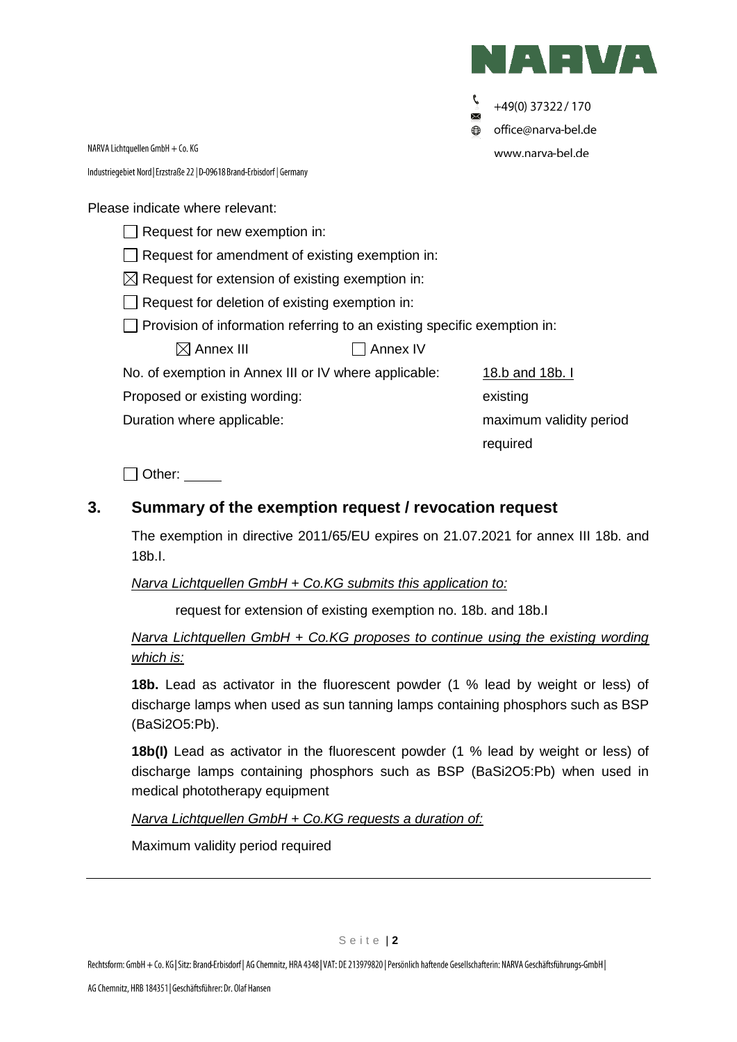

+49(0) 37322 / 170 office@narva-bel.de ⊕ www.narva-bel.de

NARVA Lichtquellen GmbH + Co. KG Industriegebiet Nord | Erzstraße 22 | D-09618 Brand-Erbisdorf | Germany

Please indicate where relevant:

 $\Box$  Request for new exemption in:

 $\Box$  Request for amendment of existing exemption in:

 $\boxtimes$  Request for extension of existing exemption in:

Request for deletion of existing exemption in:

 $\Box$  Provision of information referring to an existing specific exemption in:

 $\boxtimes$  Annex III  $\Box$  Annex IV

No. of exemption in Annex III or IV where applicable: 18.b and 18b. I

Proposed or existing wording: existing variable control of the existing

Duration where applicable: maximum validity period

required

Other:

## **3. Summary of the exemption request / revocation request**

The exemption in directive 2011/65/EU expires on 21.07.2021 for annex III 18b. and 18b.I.

## *Narva Lichtquellen GmbH + Co.KG submits this application to:*

request for extension of existing exemption no. 18b. and 18b.I

## *Narva Lichtquellen GmbH + Co.KG proposes to continue using the existing wording which is:*

**18b.** Lead as activator in the fluorescent powder (1 % lead by weight or less) of discharge lamps when used as sun tanning lamps containing phosphors such as BSP (BaSi2O5:Pb).

**18b(I)** Lead as activator in the fluorescent powder (1 % lead by weight or less) of discharge lamps containing phosphors such as BSP (BaSi2O5:Pb) when used in medical phototherapy equipment

*Narva Lichtquellen GmbH + Co.KG requests a duration of:*

Maximum validity period required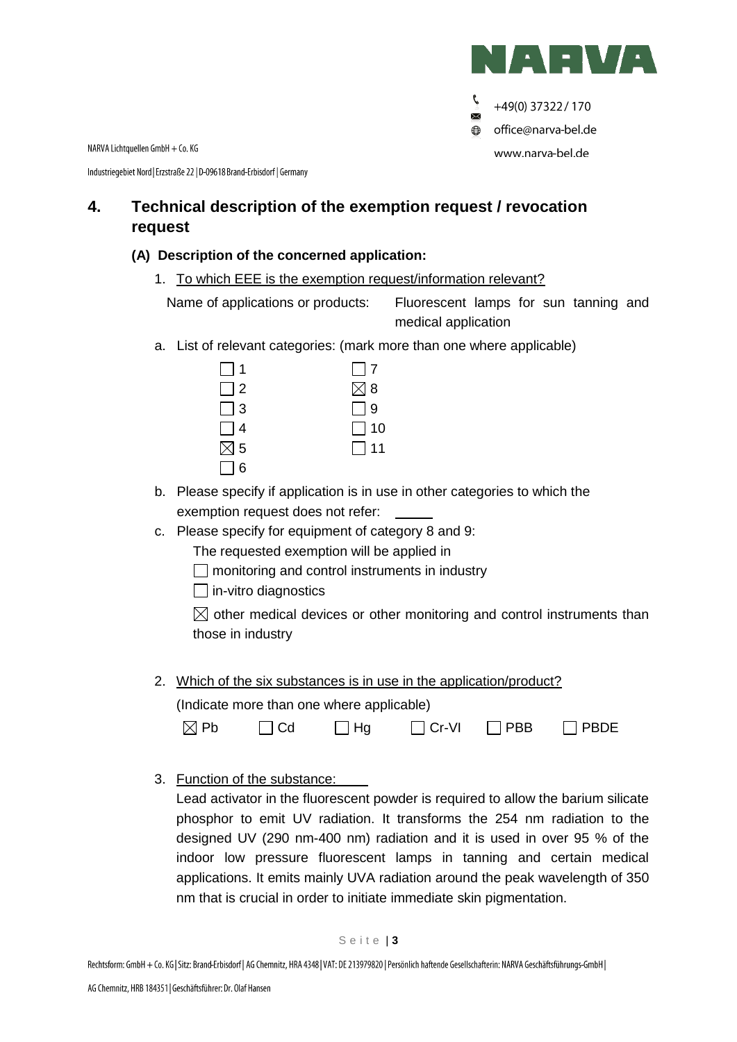

Ç +49(0) 37322 / 170  $\times$ **●** office@narva-bel.de www.narva-bel.de

NARVA Lichtquellen GmbH + Co. KG

Industriegebiet Nord | Erzstraße 22 | D-09618 Brand-Erbisdorf | Germany

## **4. Technical description of the exemption request / revocation request**

### **(A) Description of the concerned application:**

1. To which EEE is the exemption request/information relevant?

Name of applications or products: Fluorescent lamps for sun tanning and medical application

a. List of relevant categories: (mark more than one where applicable)

| 1             | $\Box$ 7      |
|---------------|---------------|
| $\Box$ 2      | $\boxtimes$ 8 |
| $\Box$ 3      | $\Box$ 9      |
| $\Box$ 4      | $\Box$ 10     |
| $\boxtimes$ 5 | $\Box$ 11     |
| $\Box$ 6      |               |

- b. Please specify if application is in use in other categories to which the exemption request does not refer:
- c. Please specify for equipment of category 8 and 9:

The requested exemption will be applied in

- $\Box$  monitoring and control instruments in industry
- $\Box$  in-vitro diagnostics

 $\boxtimes$  other medical devices or other monitoring and control instruments than those in industry

2. Which of the six substances is in use in the application/product? (Indicate more than one where applicable)

| $\boxtimes$ Pb | $\Box$ Cd | $\Box$ Hg | $\Box$ Cr-VI | $\Box$ PBB | $\Box$ PBDE |
|----------------|-----------|-----------|--------------|------------|-------------|

3. Function of the substance:

Lead activator in the fluorescent powder is required to allow the barium silicate phosphor to emit UV radiation. It transforms the 254 nm radiation to the designed UV (290 nm-400 nm) radiation and it is used in over 95 % of the indoor low pressure fluorescent lamps in tanning and certain medical applications. It emits mainly UVA radiation around the peak wavelength of 350 nm that is crucial in order to initiate immediate skin pigmentation.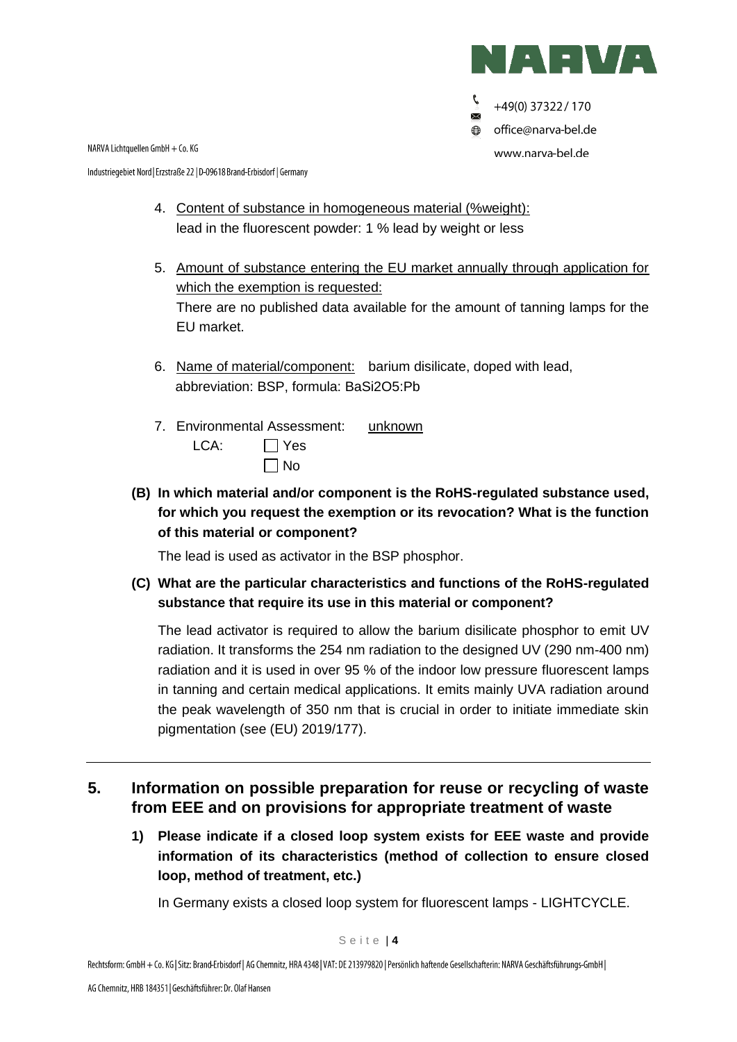

+49(0) 37322 / 170  $\times$ office@narva-bel.de  $\bigoplus$ www.narva-bel.de

NARVA Lichtquellen GmbH + Co. KG

Industriegebiet Nord | Erzstraße 22 | D-09618 Brand-Erbisdorf | Germany

- 4. Content of substance in homogeneous material (%weight): lead in the fluorescent powder: 1 % lead by weight or less
- 5. Amount of substance entering the EU market annually through application for which the exemption is requested: There are no published data available for the amount of tanning lamps for the EU market.
- 6. Name of material/component: barium disilicate, doped with lead, abbreviation: BSP, formula: BaSi2O5:Pb
- 7. Environmental Assessment: unknown LCA: Pres  $\Box$  No
- **(B) In which material and/or component is the RoHS-regulated substance used, for which you request the exemption or its revocation? What is the function of this material or component?**

The lead is used as activator in the BSP phosphor.

**(C) What are the particular characteristics and functions of the RoHS-regulated substance that require its use in this material or component?**

The lead activator is required to allow the barium disilicate phosphor to emit UV radiation. It transforms the 254 nm radiation to the designed UV (290 nm-400 nm) radiation and it is used in over 95 % of the indoor low pressure fluorescent lamps in tanning and certain medical applications. It emits mainly UVA radiation around the peak wavelength of 350 nm that is crucial in order to initiate immediate skin pigmentation (see (EU) 2019/177).

- **5. Information on possible preparation for reuse or recycling of waste from EEE and on provisions for appropriate treatment of waste**
	- **1) Please indicate if a closed loop system exists for EEE waste and provide information of its characteristics (method of collection to ensure closed loop, method of treatment, etc.)**

In Germany exists a closed loop system for fluorescent lamps - LIGHTCYCLE.

Rechtsform: GmbH + Co. KG | Sitz: Brand-Erbisdorf | AG Chemnitz, HRA 4348 | VAT: DE 213979820 | Persönlich haftende Gesellschafterin: NARVA Geschäftsführungs-GmbH |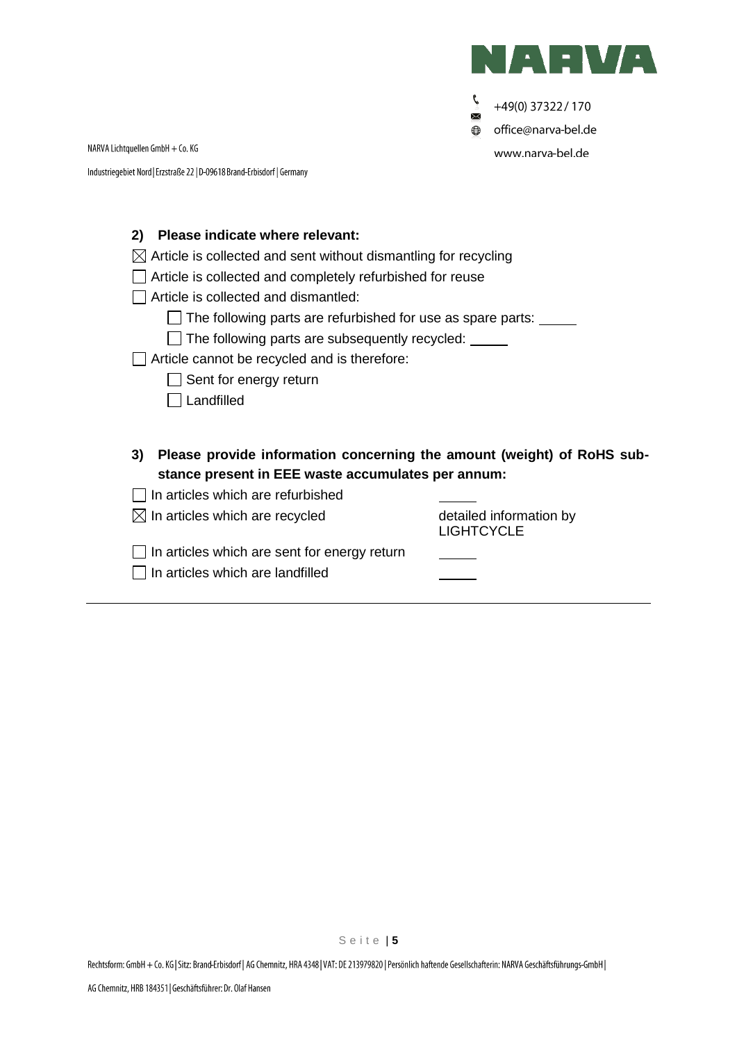

 $\mathcal{C}$ +49(0) 37322 / 170  $\times$  $\bigoplus$ office@narva-bel.de www.narva-bel.de

NARVA Lichtquellen GmbH + Co. KG

Industriegebiet Nord | Erzstraße 22 | D-09618 Brand-Erbisdorf | Germany

| Please indicate where relevant:<br>2)<br>Article is collected and sent without dismantling for recycling<br>Article is collected and completely refurbished for reuse<br>Article is collected and dismantled:<br>The following parts are refurbished for use as spare parts:<br>The following parts are subsequently recycled:<br>Article cannot be recycled and is therefore:<br>Sent for energy return<br>Landfilled |                                              |
|------------------------------------------------------------------------------------------------------------------------------------------------------------------------------------------------------------------------------------------------------------------------------------------------------------------------------------------------------------------------------------------------------------------------|----------------------------------------------|
| Please provide information concerning the amount (weight) of RoHS sub-<br>3)                                                                                                                                                                                                                                                                                                                                           |                                              |
| stance present in EEE waste accumulates per annum:                                                                                                                                                                                                                                                                                                                                                                     |                                              |
| In articles which are refurbished                                                                                                                                                                                                                                                                                                                                                                                      |                                              |
| $\boxtimes$ In articles which are recycled                                                                                                                                                                                                                                                                                                                                                                             | detailed information by<br><b>LIGHTCYCLE</b> |
| In articles which are sent for energy return                                                                                                                                                                                                                                                                                                                                                                           |                                              |
| In articles which are landfilled                                                                                                                                                                                                                                                                                                                                                                                       |                                              |

S e i t e | **5**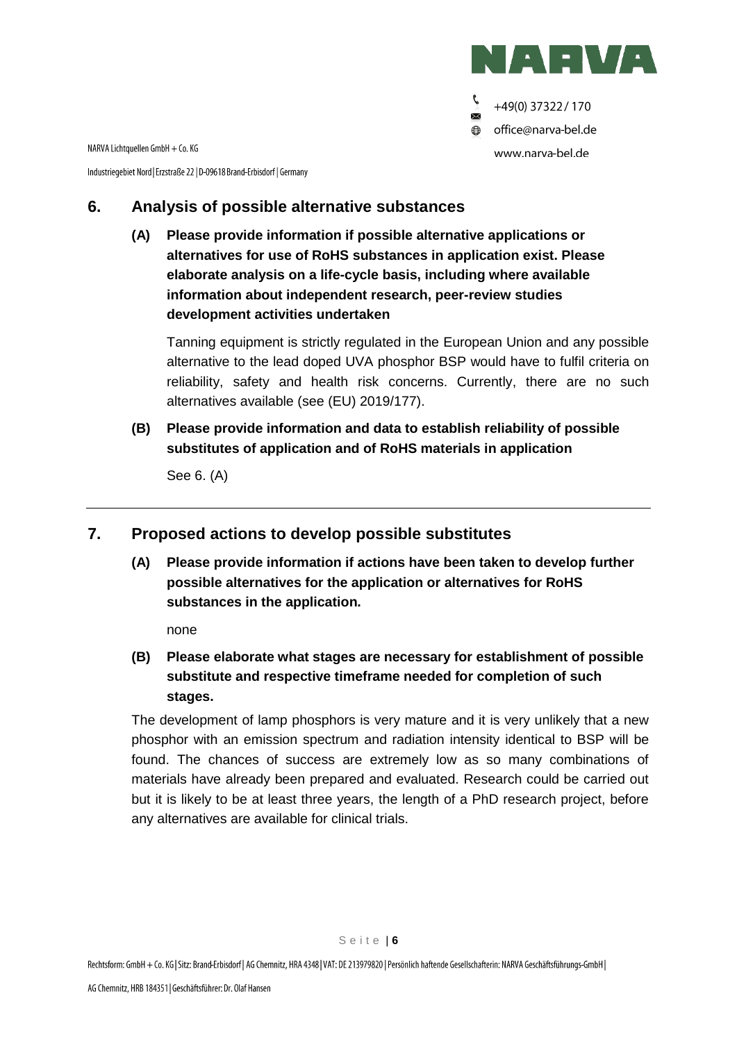

Ç +49(0) 37322 / 170  $\times$ office@narva-bel.de  $\bigoplus$ www.narva-bel.de

NARVA Lichtquellen GmbH + Co. KG

Industriegebiet Nord | Erzstraße 22 | D-09618 Brand-Erbisdorf | Germany

## **6. Analysis of possible alternative substances**

**(A) Please provide information if possible alternative applications or alternatives for use of RoHS substances in application exist. Please elaborate analysis on a life-cycle basis, including where available information about independent research, peer-review studies development activities undertaken**

Tanning equipment is strictly regulated in the European Union and any possible alternative to the lead doped UVA phosphor BSP would have to fulfil criteria on reliability, safety and health risk concerns. Currently, there are no such alternatives available (see (EU) 2019/177).

**(B) Please provide information and data to establish reliability of possible substitutes of application and of RoHS materials in application**

See 6. (A)

## **7. Proposed actions to develop possible substitutes**

**(A) Please provide information if actions have been taken to develop further possible alternatives for the application or alternatives for RoHS substances in the application.** 

none

**(B) Please elaborate what stages are necessary for establishment of possible substitute and respective timeframe needed for completion of such stages.**

The development of lamp phosphors is very mature and it is very unlikely that a new phosphor with an emission spectrum and radiation intensity identical to BSP will be found. The chances of success are extremely low as so many combinations of materials have already been prepared and evaluated. Research could be carried out but it is likely to be at least three years, the length of a PhD research project, before any alternatives are available for clinical trials.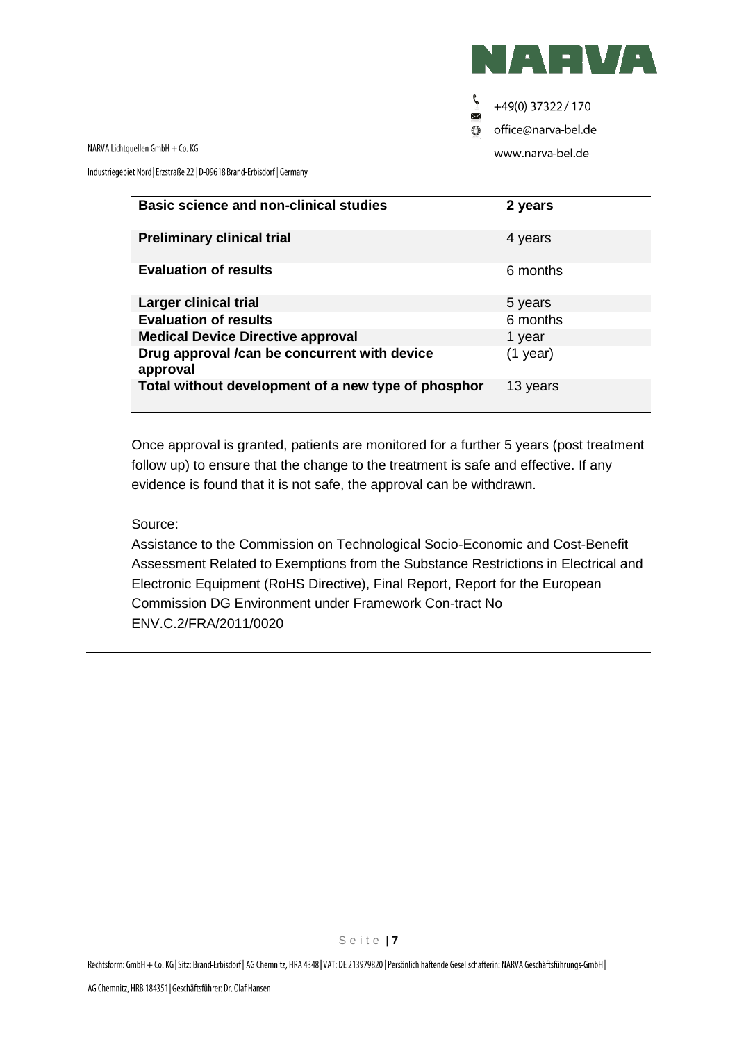

Ç +49(0) 37322 / 170  $\times$ 

office@narva-bel.de  $\bigoplus$ 

www.narva-bel.de

NARVA Lichtquellen GmbH + Co. KG

Industriegebiet Nord | Erzstraße 22 | D-09618 Brand-Erbisdorf | Germany

| <b>Basic science and non-clinical studies</b>            | 2 years    |
|----------------------------------------------------------|------------|
| <b>Preliminary clinical trial</b>                        | 4 years    |
| <b>Evaluation of results</b>                             | 6 months   |
| Larger clinical trial                                    | 5 years    |
| <b>Evaluation of results</b>                             | 6 months   |
| <b>Medical Device Directive approval</b>                 | 1 year     |
| Drug approval /can be concurrent with device<br>approval | $(1$ year) |
| Total without development of a new type of phosphor      | 13 years   |

Once approval is granted, patients are monitored for a further 5 years (post treatment follow up) to ensure that the change to the treatment is safe and effective. If any evidence is found that it is not safe, the approval can be withdrawn.

#### Source:

Assistance to the Commission on Technological Socio-Economic and Cost-Benefit Assessment Related to Exemptions from the Substance Restrictions in Electrical and Electronic Equipment (RoHS Directive), Final Report, Report for the European Commission DG Environment under Framework Con-tract No ENV.C.2/FRA/2011/0020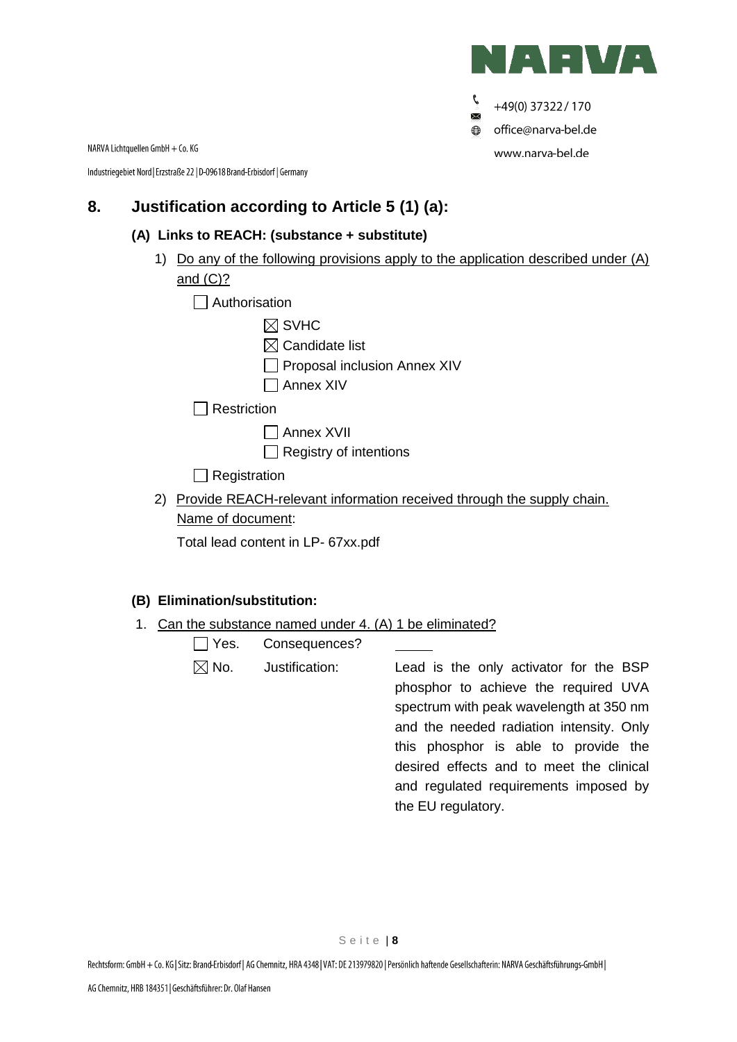

Ç +49(0) 37322 / 170  $\times$  $\bigoplus$ office@narva-bel.de www.narva-bel.de

NARVA Lichtquellen GmbH + Co. KG

Industriegebiet Nord | Erzstraße 22 | D-09618 Brand-Erbisdorf | Germany

## **8. Justification according to Article 5 (1) (a):**

#### **(A) Links to REACH: (substance + substitute)**

1) Do any of the following provisions apply to the application described under (A) and (C)?

|  | Authorisation |
|--|---------------|
|--|---------------|

- $\boxtimes$  SVHC
- $\boxtimes$  Candidate list
- $\Box$  Proposal inclusion Annex XIV
- Annex XIV

 $\Box$  Restriction

- Annex XVII
- $\Box$  Registry of intentions

 $\Box$  Registration

2) Provide REACH-relevant information received through the supply chain. Name of document:

Total lead content in LP- 67xx.pdf

## **(B) Elimination/substitution:**

1. Can the substance named under 4. (A) 1 be eliminated?

| $\Box$ Yes.<br>Consequences? |
|------------------------------|
|------------------------------|

 $\boxtimes$  No. Justification: Lead is the only activator for the BSP phosphor to achieve the required UVA spectrum with peak wavelength at 350 nm and the needed radiation intensity. Only this phosphor is able to provide the desired effects and to meet the clinical and regulated requirements imposed by the EU regulatory.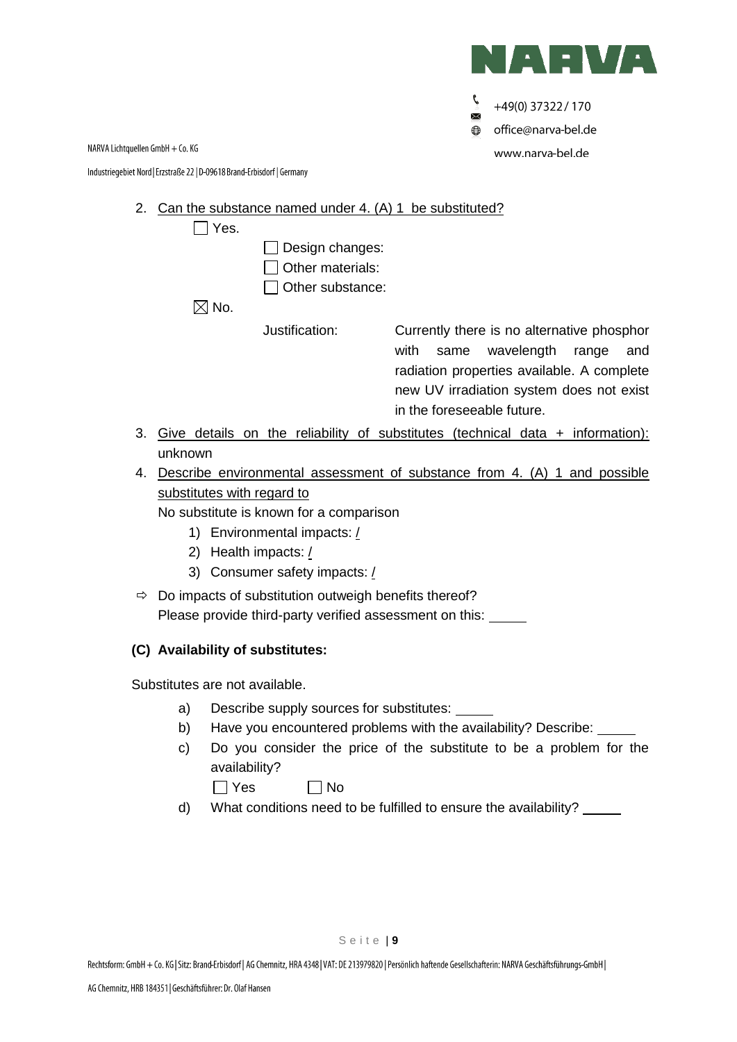

Ç +49(0) 37322 / 170  $\times$ office@narva-bel.de  $\bigoplus$ www.narva-bel.de

NARVA Lichtquellen GmbH + Co. KG

Industriegebiet Nord | Erzstraße 22 | D-09618 Brand-Erbisdorf | Germany

#### 2. Can the substance named under 4. (A) 1 be substituted?

|    |         | Yes. |                                     |                                                                                          |
|----|---------|------|-------------------------------------|------------------------------------------------------------------------------------------|
|    |         |      | Design changes:<br>Other materials: |                                                                                          |
|    |         |      | Other substance:                    |                                                                                          |
|    |         | No.  |                                     |                                                                                          |
|    |         |      | Justification:                      | Currently there is no alternative phosphor                                               |
|    |         |      |                                     | wavelength<br>with<br>and<br>range<br>same<br>radiation properties available. A complete |
|    |         |      |                                     | new UV irradiation system does not exist                                                 |
|    |         |      |                                     | in the foreseeable future.                                                               |
| 3. |         |      |                                     | Give details on the reliability of substitutes (technical data $+$ information):         |
|    | unknown |      |                                     |                                                                                          |

# 4. Describe environmental assessment of substance from 4. (A) 1 and possible substitutes with regard to

No substitute is known for a comparison

- 1) Environmental impacts: /
- 2) Health impacts: /
- 3) Consumer safety impacts: /
- $\Rightarrow$  Do impacts of substitution outweigh benefits thereof? Please provide third-party verified assessment on this:

#### **(C) Availability of substitutes:**

Substitutes are not available.

- a) Describe supply sources for substitutes:
- b) Have you encountered problems with the availability? Describe: \_\_\_\_\_
- c) Do you consider the price of the substitute to be a problem for the availability?

 $\Box$  Yes  $\Box$  No

d) What conditions need to be fulfilled to ensure the availability?